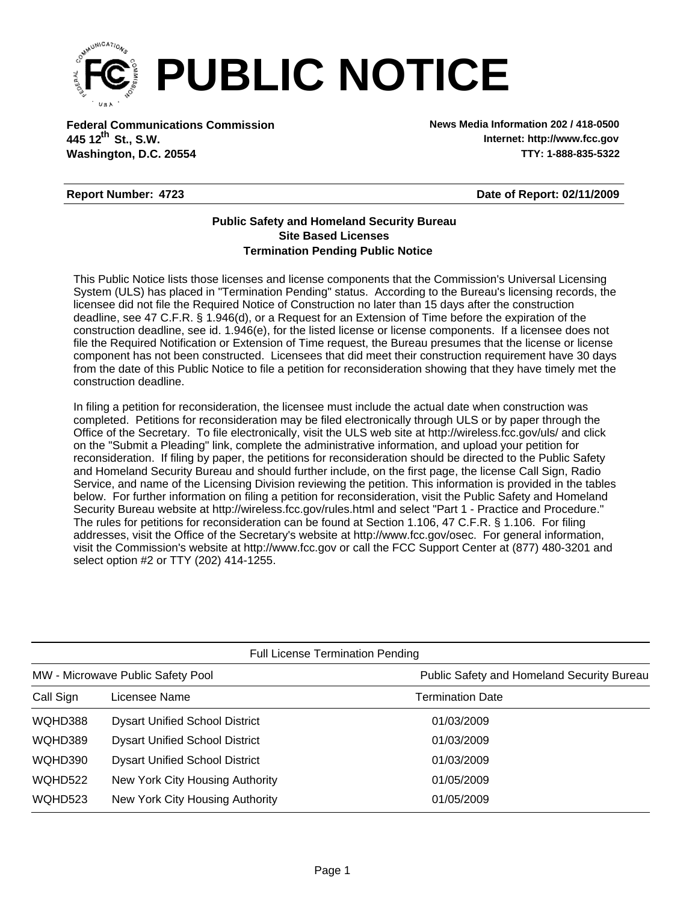

**Federal Communications Commission News Media Information 202 / 418-0500 Washington, D.C. 20554 TTY: 1-888-835-5322 445 12 St., S.W. th**

**Internet: http://www.fcc.gov**

## **Report Number: 4723**

**Date of Report: 02/11/2009**

## **Termination Pending Public Notice Site Based Licenses Public Safety and Homeland Security Bureau**

This Public Notice lists those licenses and license components that the Commission's Universal Licensing System (ULS) has placed in "Termination Pending" status. According to the Bureau's licensing records, the licensee did not file the Required Notice of Construction no later than 15 days after the construction deadline, see 47 C.F.R. § 1.946(d), or a Request for an Extension of Time before the expiration of the construction deadline, see id. 1.946(e), for the listed license or license components. If a licensee does not file the Required Notification or Extension of Time request, the Bureau presumes that the license or license component has not been constructed. Licensees that did meet their construction requirement have 30 days from the date of this Public Notice to file a petition for reconsideration showing that they have timely met the construction deadline.

In filing a petition for reconsideration, the licensee must include the actual date when construction was completed. Petitions for reconsideration may be filed electronically through ULS or by paper through the Office of the Secretary. To file electronically, visit the ULS web site at http://wireless.fcc.gov/uls/ and click on the "Submit a Pleading" link, complete the administrative information, and upload your petition for reconsideration. If filing by paper, the petitions for reconsideration should be directed to the Public Safety and Homeland Security Bureau and should further include, on the first page, the license Call Sign, Radio Service, and name of the Licensing Division reviewing the petition. This information is provided in the tables below. For further information on filing a petition for reconsideration, visit the Public Safety and Homeland Security Bureau website at http://wireless.fcc.gov/rules.html and select "Part 1 - Practice and Procedure." The rules for petitions for reconsideration can be found at Section 1.106, 47 C.F.R. § 1.106. For filing addresses, visit the Office of the Secretary's website at http://www.fcc.gov/osec. For general information, visit the Commission's website at http://www.fcc.gov or call the FCC Support Center at (877) 480-3201 and select option #2 or TTY (202) 414-1255.

| <b>Full License Termination Pending</b> |                                       |                                            |  |  |
|-----------------------------------------|---------------------------------------|--------------------------------------------|--|--|
| MW - Microwave Public Safety Pool       |                                       | Public Safety and Homeland Security Bureau |  |  |
| Call Sign                               | Licensee Name                         | <b>Termination Date</b>                    |  |  |
| WQHD388                                 | <b>Dysart Unified School District</b> | 01/03/2009                                 |  |  |
| WQHD389                                 | <b>Dysart Unified School District</b> | 01/03/2009                                 |  |  |
| WQHD390                                 | <b>Dysart Unified School District</b> | 01/03/2009                                 |  |  |
| WQHD522                                 | New York City Housing Authority       | 01/05/2009                                 |  |  |
| WQHD523                                 | New York City Housing Authority       | 01/05/2009                                 |  |  |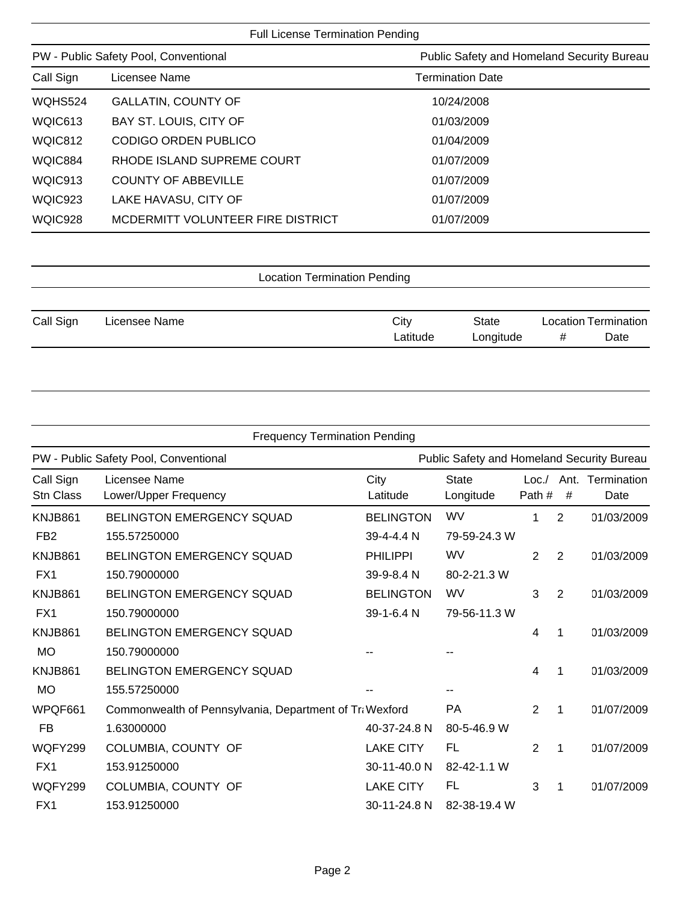| <b>Full License Termination Pending</b>                                             |                         |  |  |  |  |
|-------------------------------------------------------------------------------------|-------------------------|--|--|--|--|
| PW - Public Safety Pool, Conventional<br>Public Safety and Homeland Security Bureau |                         |  |  |  |  |
| Licensee Name                                                                       | <b>Termination Date</b> |  |  |  |  |
| <b>GALLATIN, COUNTY OF</b>                                                          | 10/24/2008              |  |  |  |  |
| BAY ST. LOUIS, CITY OF                                                              | 01/03/2009              |  |  |  |  |
| CODIGO ORDEN PUBLICO                                                                | 01/04/2009              |  |  |  |  |
| RHODE ISLAND SUPREME COURT                                                          | 01/07/2009              |  |  |  |  |
| <b>COUNTY OF ABBEVILLE</b>                                                          | 01/07/2009              |  |  |  |  |
| LAKE HAVASU, CITY OF                                                                | 01/07/2009              |  |  |  |  |
| MCDERMITT VOLUNTEER FIRE DISTRICT                                                   | 01/07/2009              |  |  |  |  |
|                                                                                     |                         |  |  |  |  |

| Call Sign | Licensee Name | City     | State     | <b>Location Termination</b> |      |  |
|-----------|---------------|----------|-----------|-----------------------------|------|--|
|           |               | Latitude | ∟ongitude |                             | Date |  |

| <b>Frequency Termination Pending</b>  |                                                         |                  |                                            |                |           |                     |
|---------------------------------------|---------------------------------------------------------|------------------|--------------------------------------------|----------------|-----------|---------------------|
| PW - Public Safety Pool, Conventional |                                                         |                  | Public Safety and Homeland Security Bureau |                |           |                     |
| Call Sign<br><b>Stn Class</b>         | Licensee Name<br>Lower/Upper Frequency                  | City<br>Latitude | <b>State</b><br>Longitude                  | Loc.<br>Path # | Ant.<br># | Termination<br>Date |
| KNJB861                               | <b>BELINGTON EMERGENCY SQUAD</b>                        | <b>BELINGTON</b> | WV                                         | 1              | 2         | 01/03/2009          |
| FB <sub>2</sub>                       | 155.57250000                                            | 39-4-4.4 N       | 79-59-24.3 W                               |                |           |                     |
| KNJB861                               | BELINGTON EMERGENCY SQUAD                               | <b>PHILIPPI</b>  | WV                                         | 2              | 2         | 01/03/2009          |
| FX1                                   | 150.79000000                                            | 39-9-8.4 N       | 80-2-21.3 W                                |                |           |                     |
| KNJB861                               | <b>BELINGTON EMERGENCY SQUAD</b>                        | <b>BELINGTON</b> | WV                                         | 3              | 2         | 01/03/2009          |
| FX1                                   | 150.79000000                                            | 39-1-6.4 N       | 79-56-11.3 W                               |                |           |                     |
| KNJB861                               | <b>BELINGTON EMERGENCY SQUAD</b>                        |                  |                                            | 4              | 1         | 01/03/2009          |
| <b>MO</b>                             | 150.79000000                                            |                  |                                            |                |           |                     |
| KNJB861                               | <b>BELINGTON EMERGENCY SQUAD</b>                        |                  |                                            | 4              | 1         | 01/03/2009          |
| <b>MO</b>                             | 155.57250000                                            |                  |                                            |                |           |                     |
| WPQF661                               | Commonwealth of Pennsylvania, Department of Tra Wexford |                  | PA                                         | 2              | 1         | 01/07/2009          |
| <b>FB</b>                             | 1.63000000                                              | 40-37-24.8 N     | 80-5-46.9 W                                |                |           |                     |
| WQFY299                               | COLUMBIA, COUNTY OF                                     | <b>LAKE CITY</b> | <b>FL</b>                                  | $\overline{2}$ | 1         | 01/07/2009          |
| FX1                                   | 153.91250000                                            | 30-11-40.0 N     | 82-42-1.1 W                                |                |           |                     |
| WQFY299                               | COLUMBIA, COUNTY OF                                     | <b>LAKE CITY</b> | FL                                         | 3              | 1         | 01/07/2009          |
| FX1                                   | 153.91250000                                            | 30-11-24.8 N     | 82-38-19.4 W                               |                |           |                     |